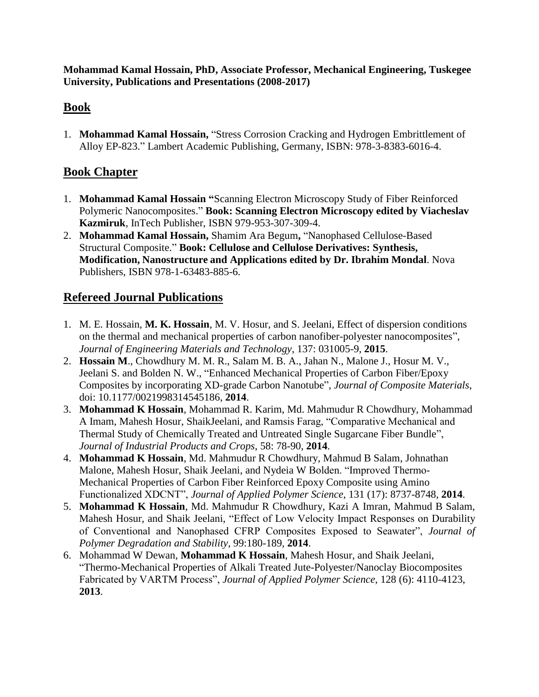**Mohammad Kamal Hossain, PhD, Associate Professor, Mechanical Engineering, Tuskegee University, Publications and Presentations (2008-2017)**

#### **Book**

1. **Mohammad Kamal Hossain,** "Stress Corrosion Cracking and Hydrogen Embrittlement of Alloy EP-823." Lambert Academic Publishing, Germany, ISBN: 978-3-8383-6016-4.

### **Book Chapter**

- 1. **Mohammad Kamal Hossain "**Scanning Electron Microscopy Study of Fiber Reinforced Polymeric Nanocomposites." **Book: Scanning Electron Microscopy edited by Viacheslav Kazmiruk**, InTech Publisher, ISBN 979-953-307-309-4.
- 2. **Mohammad Kamal Hossain,** Shamim Ara Begum**,** "Nanophased Cellulose-Based Structural Composite." **Book: Cellulose and Cellulose Derivatives: Synthesis, Modification, Nanostructure and Applications edited by Dr. Ibrahim Mondal**. Nova Publishers, ISBN 978-1-63483-885-6.

## **Refereed Journal Publications**

- 1. M. E. Hossain, **M. K. Hossain**, M. V. Hosur, and S. Jeelani, Effect of dispersion conditions on the thermal and mechanical properties of carbon nanofiber-polyester nanocomposites", *Journal of Engineering Materials and Technology*, 137: 031005-9, **2015**.
- 2. **Hossain M**., Chowdhury M. M. R., Salam M. B. A., Jahan N., Malone J., Hosur M. V., Jeelani S. and Bolden N. W., "Enhanced Mechanical Properties of Carbon Fiber/Epoxy Composites by incorporating XD-grade Carbon Nanotube", *Journal of Composite Materials*, doi: 10.1177/0021998314545186, **2014**.
- 3. **Mohammad K Hossain**, Mohammad R. Karim, Md. Mahmudur R Chowdhury, Mohammad A Imam, Mahesh Hosur, ShaikJeelani, and Ramsis Farag, "Comparative Mechanical and Thermal Study of Chemically Treated and Untreated Single Sugarcane Fiber Bundle", *Journal of Industrial Products and Crops*, 58: 78-90, **2014**.
- 4. **Mohammad K Hossain**, Md. Mahmudur R Chowdhury, Mahmud B Salam, Johnathan Malone, Mahesh Hosur, Shaik Jeelani, and Nydeia W Bolden. "Improved Thermo-Mechanical Properties of Carbon Fiber Reinforced Epoxy Composite using Amino Functionalized XDCNT", *Journal of Applied Polymer Science*, 131 (17): 8737-8748, **2014**.
- 5. **Mohammad K Hossain**, Md. Mahmudur R Chowdhury, Kazi A Imran, Mahmud B Salam, Mahesh Hosur, and Shaik Jeelani, "Effect of Low Velocity Impact Responses on Durability of Conventional and Nanophased CFRP Composites Exposed to Seawater", *Journal of Polymer Degradation and Stability*, 99:180-189, **2014**.
- 6. Mohammad W Dewan, **Mohammad K Hossain**, Mahesh Hosur, and Shaik Jeelani, "Thermo-Mechanical Properties of Alkali Treated Jute-Polyester/Nanoclay Biocomposites Fabricated by VARTM Process", *Journal of Applied Polymer Science*, 128 (6): 4110-4123, **2013**.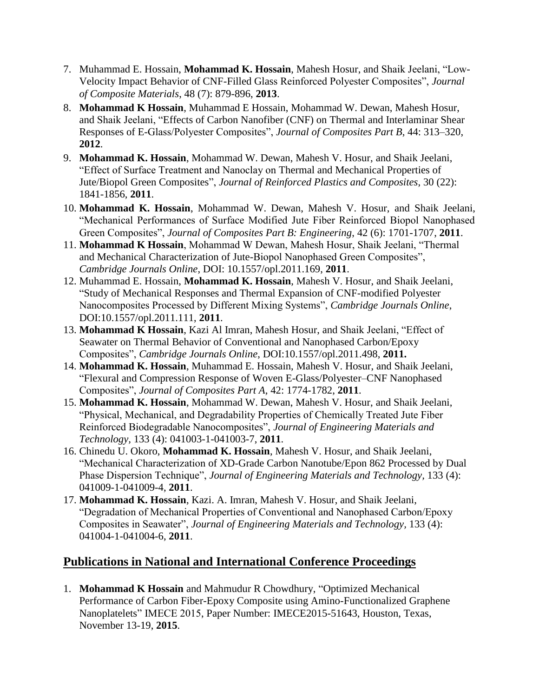- 7. Muhammad E. Hossain, **Mohammad K. Hossain**, Mahesh Hosur, and Shaik Jeelani, "Low-Velocity Impact Behavior of CNF-Filled Glass Reinforced Polyester Composites", *Journal of Composite Materials*, 48 (7): 879-896, **2013**.
- 8. **Mohammad K Hossain**, Muhammad E Hossain, Mohammad W. Dewan, Mahesh Hosur, and Shaik Jeelani, "Effects of Carbon Nanofiber (CNF) on Thermal and Interlaminar Shear Responses of E-Glass/Polyester Composites", *Journal of Composites Part B*, 44: 313–320, **2012**.
- 9. **Mohammad K. Hossain**, Mohammad W. Dewan, Mahesh V. Hosur, and Shaik Jeelani, "Effect of Surface Treatment and Nanoclay on Thermal and Mechanical Properties of Jute/Biopol Green Composites", *Journal of Reinforced Plastics and Composites*, 30 (22): 1841-1856, **2011**.
- 10. **Mohammad K. Hossain**, Mohammad W. Dewan, Mahesh V. Hosur, and Shaik Jeelani, "Mechanical Performances of Surface Modified Jute Fiber Reinforced Biopol Nanophased Green Composites", *Journal of Composites Part B: Engineering*, [42 \(6\): 1](http://www.sciencedirect.com/science?_ob=PublicationURL&_tockey=%23TOC%235565%232011%23999579993%233384795%23FLA%23&_cdi=5565&_pubType=J&view=c&_auth=y&_acct=C000228598&_version=1&_urlVersion=0&_userid=10&md5=a0ffef471c7f8e29323931b219b6c42f)701-1707, **2011**.
- 11. **Mohammad K Hossain**, Mohammad W Dewan, Mahesh Hosur, Shaik Jeelani, "Thermal and Mechanical Characterization of Jute-Biopol Nanophased Green Composites", *Cambridge Journals Online*, DOI: 10.1557/opl.2011.169, **2011**.
- 12. Muhammad E. Hossain, **Mohammad K. Hossain**, Mahesh V. Hosur, and Shaik Jeelani, "Study of Mechanical Responses and Thermal Expansion of CNF-modified Polyester Nanocomposites Processed by Different Mixing Systems", *Cambridge Journals Online*, DOI:10.1557/opl.2011.111, **2011**.
- 13. **Mohammad K Hossain**, Kazi Al Imran, Mahesh Hosur, and Shaik Jeelani, "Effect of Seawater on Thermal Behavior of Conventional and Nanophased Carbon/Epoxy Composites", *Cambridge Journals Online*, DOI:10.1557/opl.2011.498, **2011.**
- 14. **Mohammad K. Hossain**, Muhammad E. Hossain, Mahesh V. Hosur, and Shaik Jeelani, "Flexural and Compression Response of Woven E-Glass/Polyester–CNF Nanophased Composites", *Journal of Composites Part A,* 42: 1774-1782, **2011**.
- 15. **Mohammad K. Hossain**, Mohammad W. Dewan, Mahesh V. Hosur, and Shaik Jeelani, "Physical, Mechanical, and Degradability Properties of Chemically Treated Jute Fiber Reinforced Biodegradable Nanocomposites", *Journal of Engineering Materials and Technology,* 133 (4): 041003-1-041003-7, **2011**.
- 16. Chinedu U. Okoro, **Mohammad K. Hossain**, Mahesh V. Hosur, and Shaik Jeelani, "Mechanical Characterization of XD-Grade Carbon Nanotube/Epon 862 Processed by Dual Phase Dispersion Technique", *Journal of Engineering Materials and Technology,* 133 (4): 041009-1-041009-4, **2011**.
- 17. **Mohammad K. Hossain**, Kazi. A. Imran, Mahesh V. Hosur, and Shaik Jeelani, "Degradation of Mechanical Properties of Conventional and Nanophased Carbon/Epoxy Composites in Seawater", *Journal of Engineering Materials and Technology,* 133 (4): 041004-1-041004-6, **2011**.

### **Publications in National and International Conference Proceedings**

1. **Mohammad K Hossain** and Mahmudur R Chowdhury, "Optimized Mechanical Performance of Carbon Fiber-Epoxy Composite using Amino-Functionalized Graphene Nanoplatelets" IMECE 2015, Paper Number: IMECE2015-51643, Houston, Texas, November 13-19, **2015**.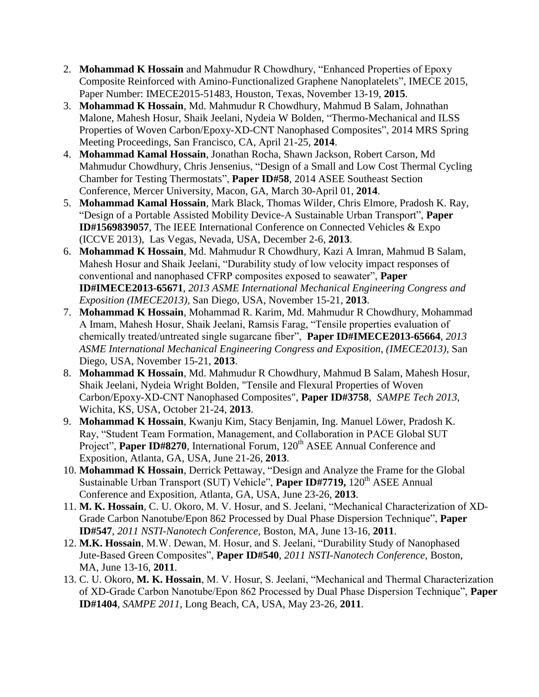- 2. **Mohammad K Hossain** and Mahmudur R Chowdhury, "Enhanced Properties of Epoxy Composite Reinforced with Amino-Functionalized Graphene Nanoplatelets", IMECE 2015, Paper Number: IMECE2015-51483, Houston, Texas, November 13-19, **2015**.
- 3. **Mohammad K Hossain**, Md. Mahmudur R Chowdhury, Mahmud B Salam, Johnathan Malone, Mahesh Hosur, Shaik Jeelani, Nydeia W Bolden, "Thermo-Mechanical and ILSS Properties of Woven Carbon/Epoxy-XD-CNT Nanophased Composites", 2014 MRS Spring Meeting Proceedings, San Francisco, CA, April 21-25, **2014**.
- 4. **Mohammad Kamal Hossain**, Jonathan Rocha, Shawn Jackson, Robert Carson, Md Mahmudur Chowdhury, Chris Jensenius, "Design of a Small and Low Cost Thermal Cycling Chamber for Testing Thermostats", **Paper ID#58**, 2014 ASEE Southeast Section Conference, Mercer University, Macon, GA, March 30-April 01, **2014**.
- 5. **Mohammad Kamal Hossain**, Mark Black, Thomas Wilder, Chris Elmore, Pradosh K. Ray, "Design of a Portable Assisted Mobility Device-A Sustainable Urban Transport", **Paper ID#1569839057**, The IEEE International Conference on Connected Vehicles & Expo (ICCVE 2013), Las Vegas, Nevada, USA, December 2-6, **2013**.
- 6. **Mohammad K Hossain**, Md. Mahmudur R Chowdhury, Kazi A Imran, Mahmud B Salam, Mahesh Hosur and Shaik Jeelani, "Durability study of low velocity impact responses of conventional and nanophased CFRP composites exposed to seawater", **Paper ID#IMECE2013-65671**, *2013 ASME International Mechanical Engineering Congress and Exposition (IMECE2013),* San Diego, USA, November 15-21, **2013**.
- 7. **Mohammad K Hossain**, Mohammad R. Karim, Md. Mahmudur R Chowdhury, Mohammad A Imam, Mahesh Hosur, Shaik Jeelani, Ramsis Farag, "Tensile properties evaluation of chemically treated/untreated single sugarcane fiber", **Paper ID#IMECE2013-65664**, *2013 ASME International Mechanical Engineering Congress and Exposition, (IMECE2013),* San Diego, USA, November 15-21, **2013**.
- 8. **Mohammad K Hossain**, Md. Mahmudur R Chowdhury, Mahmud B Salam, Mahesh Hosur, Shaik Jeelani, Nydeia Wright Bolden, "Tensile and Flexural Properties of Woven Carbon/Epoxy-XD-CNT Nanophased Composites", **Paper ID#3758**, *SAMPE Tech 2013,*  Wichita, KS, USA, October 21-24, **2013**.
- 9. **Mohammad K Hossain**, Kwanju Kim, Stacy Benjamin, Ing. Manuel Löwer, Pradosh K. Ray, "Student Team Formation, Management, and Collaboration in PACE Global SUT Project", Paper ID#8270, International Forum, 120<sup>th</sup> ASEE Annual Conference and Exposition, Atlanta, GA, USA, June 21-26, **2013**.
- 10. **Mohammad K Hossain**, Derrick Pettaway, "Design and Analyze the Frame for the Global Sustainable Urban Transport (SUT) Vehicle", **Paper ID#7719,** 120<sup>th</sup> ASEE Annual Conference and Exposition, Atlanta, GA, USA, June 23-26, **2013**.
- 11. **M. K. Hossain**, C. U. Okoro, M. V. Hosur, and S. Jeelani, "Mechanical Characterization of XD-Grade Carbon Nanotube/Epon 862 Processed by Dual Phase Dispersion Technique", **Paper ID#547**, *2011 NSTI-Nanotech Conference,* Boston, MA, June 13-16, **2011**.
- 12. **M.K. Hossain**, M.W. Dewan, M. Hosur, and S. Jeelani, "Durability Study of Nanophased Jute-Based Green Composites", **Paper ID#540**, *2011 NSTI-Nanotech Conference,* Boston, MA, June 13-16, **2011**.
- 13. C. U. Okoro, **M. K. Hossain**, M. V. Hosur, S. Jeelani, "Mechanical and Thermal Characterization of XD-Grade Carbon Nanotube/Epon 862 Processed by Dual Phase Dispersion Technique", **Paper ID#1404**, *SAMPE 2011*, Long Beach, CA, USA, May 23-26, **2011**.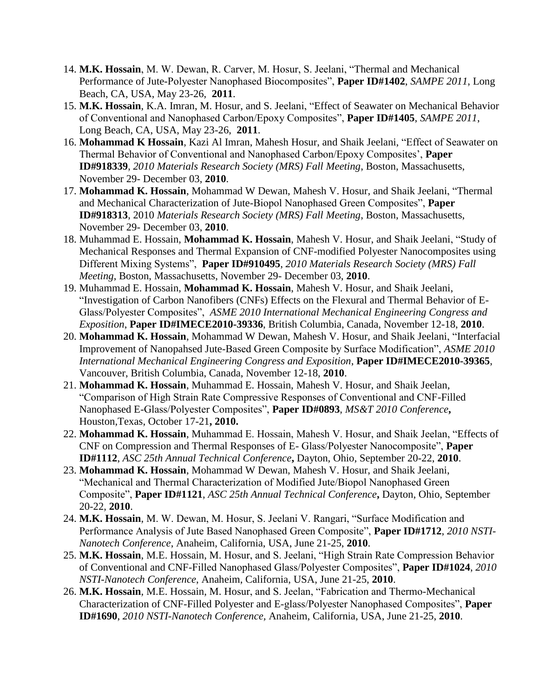- 14. **M.K. Hossain**, M. W. Dewan, R. Carver, M. Hosur, S. Jeelani, "Thermal and Mechanical Performance of Jute-Polyester Nanophased Biocomposites", **Paper ID#1402**, *SAMPE 2011*, Long Beach, CA, USA, May 23-26, **2011**.
- 15. **M.K. Hossain**, K.A. Imran, M. Hosur, and S. Jeelani, "Effect of Seawater on Mechanical Behavior of Conventional and Nanophased Carbon/Epoxy Composites", **Paper ID#1405**, *SAMPE 2011*, Long Beach, CA, USA, May 23-26, **2011**.
- 16. **Mohammad K Hossain**, Kazi Al Imran, Mahesh Hosur, and Shaik Jeelani, "Effect of Seawater on Thermal Behavior of Conventional and Nanophased Carbon/Epoxy Composites', **Paper ID#918339**, *2010 Materials Research Society (MRS) Fall Meeting*, Boston, Massachusetts, November 29- December 03, **2010**.
- 17. **Mohammad K. Hossain**, Mohammad W Dewan, Mahesh V. Hosur, and Shaik Jeelani, "Thermal and Mechanical Characterization of Jute-Biopol Nanophased Green Composites", **Paper ID#918313**, 2010 *Materials Research Society (MRS) Fall Meeting*, Boston, Massachusetts, November 29- December 03, **2010**.
- 18. Muhammad E. Hossain, **Mohammad K. Hossain**, Mahesh V. Hosur, and Shaik Jeelani, "Study of Mechanical Responses and Thermal Expansion of CNF-modified Polyester Nanocomposites using Different Mixing Systems", **Paper ID#910495**, *2010 Materials Research Society (MRS) Fall Meeting*, Boston, Massachusetts, November 29- December 03, **2010**.
- 19. Muhammad E. Hossain, **Mohammad K. Hossain**, Mahesh V. Hosur, and Shaik Jeelani, "Investigation of Carbon Nanofibers (CNFs) Effects on the Flexural and Thermal Behavior of E-Glass/Polyester Composites", *ASME 2010 International Mechanical Engineering Congress and Exposition*, **Paper ID#IMECE2010-39336**, British Columbia, Canada, November 12-18, **2010**.
- 20. **Mohammad K. Hossain**, Mohammad W Dewan, Mahesh V. Hosur, and Shaik Jeelani, "Interfacial Improvement of Nanopahsed Jute-Based Green Composite by Surface Modification", *ASME 2010 International Mechanical Engineering Congress and Exposition*, **Paper ID#IMECE2010-39365**, Vancouver, British Columbia, Canada, November 12-18, **2010**.
- 21. **Mohammad K. Hossain**, Muhammad E. Hossain, Mahesh V. Hosur, and Shaik Jeelan, "Comparison of High Strain Rate Compressive Responses of Conventional and CNF-Filled Nanophased E-Glass/Polyester Composites", **Paper ID#0893**, *MS&T 2010 Conference***,**  Houston,Texas, October 17-21**, 2010.**
- 22. **Mohammad K. Hossain**, Muhammad E. Hossain, Mahesh V. Hosur, and Shaik Jeelan, "Effects of CNF on Compression and Thermal Responses of E- Glass/Polyester Nanocomposite", **Paper ID#1112**, *ASC 25th Annual Technical Conference***,** Dayton, Ohio, September 20-22, **2010**.
- 23. **Mohammad K. Hossain**, Mohammad W Dewan, Mahesh V. Hosur, and Shaik Jeelani, "Mechanical and Thermal Characterization of Modified Jute/Biopol Nanophased Green Composite", **Paper ID#1121**, *ASC 25th Annual Technical Conference***,** Dayton, Ohio, September 20-22, **2010**.
- 24. **M.K. Hossain**, M. W. Dewan, M. Hosur, S. Jeelani V. Rangari, "Surface Modification and Performance Analysis of Jute Based Nanophased Green Composite", **Paper ID#1712**, *2010 NSTI-Nanotech Conference*, Anaheim, California, USA, June 21-25, **2010**.
- 25. **M.K. Hossain**, M.E. Hossain, M. Hosur, and S. Jeelani, "High Strain Rate Compression Behavior of Conventional and CNF-Filled Nanophased Glass/Polyester Composites", **Paper ID#1024**, *2010 NSTI-Nanotech Conference*, Anaheim, California, USA, June 21-25, **2010**.
- 26. **M.K. Hossain**, M.E. Hossain, M. Hosur, and S. Jeelan, "Fabrication and Thermo-Mechanical Characterization of CNF-Filled Polyester and E-glass/Polyester Nanophased Composites", **Paper ID#1690**, *2010 NSTI-Nanotech Conference,* Anaheim, California, USA, June 21-25, **2010**.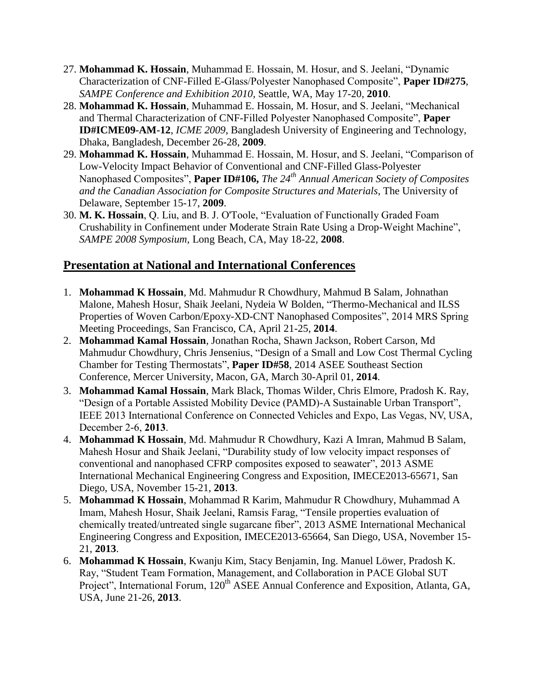- 27. **Mohammad K. Hossain**, Muhammad E. Hossain, M. Hosur, and S. Jeelani, "Dynamic Characterization of CNF-Filled E-Glass/Polyester Nanophased Composite", **Paper ID#275**, *SAMPE Conference and Exhibition 2010,* Seattle, WA, May 17-20, **2010**.
- 28. **Mohammad K. Hossain**, Muhammad E. Hossain, M. Hosur, and S. Jeelani, "Mechanical and Thermal Characterization of CNF-Filled Polyester Nanophased Composite", **Paper ID#ICME09-AM-12**, *ICME 2009*, Bangladesh University of Engineering and Technology, Dhaka, Bangladesh, December 26-28, **2009**.
- 29. **Mohammad K. Hossain**, Muhammad E. Hossain, M. Hosur, and S. Jeelani, "Comparison of Low-Velocity Impact Behavior of Conventional and CNF-Filled Glass-Polyester Nanophased Composites", **Paper ID#106,** *The 24th Annual American Society of Composites and the Canadian Association for Composite Structures and Materials*, The University of Delaware, September 15-17, **2009**.
- 30. **M. K. Hossain**, Q. Liu, and B. J. O'Toole, "Evaluation of Functionally Graded Foam Crushability in Confinement under Moderate Strain Rate Using a Drop-Weight Machine", *SAMPE 2008 Symposium,* Long Beach, CA, May 18-22, **2008**.

# **Presentation at National and International Conferences**

- 1. **Mohammad K Hossain**, Md. Mahmudur R Chowdhury, Mahmud B Salam, Johnathan Malone, Mahesh Hosur, Shaik Jeelani, Nydeia W Bolden, "Thermo-Mechanical and ILSS Properties of Woven Carbon/Epoxy-XD-CNT Nanophased Composites", 2014 MRS Spring Meeting Proceedings, San Francisco, CA, April 21-25, **2014**.
- 2. **Mohammad Kamal Hossain**, Jonathan Rocha, Shawn Jackson, Robert Carson, Md Mahmudur Chowdhury, Chris Jensenius, "Design of a Small and Low Cost Thermal Cycling Chamber for Testing Thermostats", **Paper ID#58**, 2014 ASEE Southeast Section Conference, Mercer University, Macon, GA, March 30-April 01, **2014**.
- 3. **Mohammad Kamal Hossain**, Mark Black, Thomas Wilder, Chris Elmore, Pradosh K. Ray, "Design of a Portable Assisted Mobility Device (PAMD)-A Sustainable Urban Transport", IEEE 2013 International Conference on Connected Vehicles and Expo, Las Vegas, NV, USA, December 2-6, **2013**.
- 4. **Mohammad K Hossain**, Md. Mahmudur R Chowdhury, Kazi A Imran, Mahmud B Salam, Mahesh Hosur and Shaik Jeelani, "Durability study of low velocity impact responses of conventional and nanophased CFRP composites exposed to seawater", 2013 ASME International Mechanical Engineering Congress and Exposition, IMECE2013-65671, San Diego, USA, November 15-21, **2013**.
- 5. **Mohammad K Hossain**, Mohammad R Karim, Mahmudur R Chowdhury, Muhammad A Imam, Mahesh Hosur, Shaik Jeelani, Ramsis Farag, "Tensile properties evaluation of chemically treated/untreated single sugarcane fiber", 2013 ASME International Mechanical Engineering Congress and Exposition, IMECE2013-65664, San Diego, USA, November 15- 21, **2013**.
- 6. **Mohammad K Hossain**, Kwanju Kim, Stacy Benjamin, Ing. Manuel Löwer, Pradosh K. Ray, "Student Team Formation, Management, and Collaboration in PACE Global SUT Project", International Forum, 120<sup>th</sup> ASEE Annual Conference and Exposition, Atlanta, GA, USA, June 21-26, **2013**.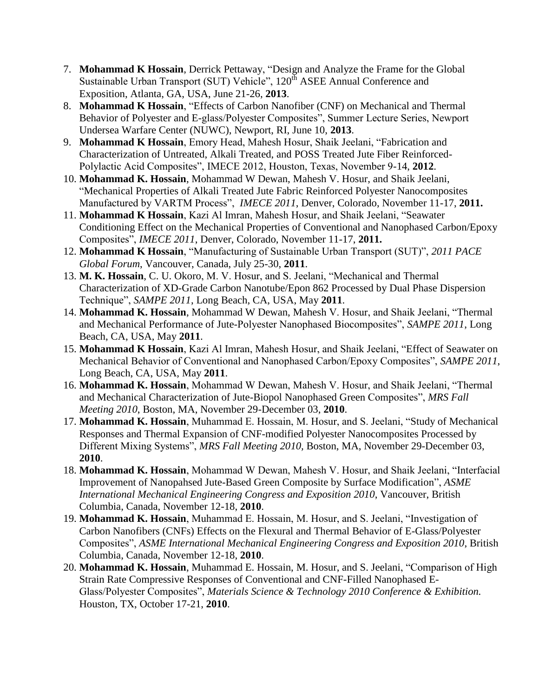- 7. **Mohammad K Hossain**, Derrick Pettaway, "Design and Analyze the Frame for the Global Sustainable Urban Transport (SUT) Vehicle", 120<sup>th</sup> ASEE Annual Conference and Exposition, Atlanta, GA, USA, June 21-26, **2013**.
- 8. **Mohammad K Hossain**, "Effects of Carbon Nanofiber (CNF) on Mechanical and Thermal Behavior of Polyester and E-glass/Polyester Composites", Summer Lecture Series, Newport Undersea Warfare Center (NUWC), Newport, RI, June 10, **2013**.
- 9. **Mohammad K Hossain**, Emory Head, Mahesh Hosur, Shaik Jeelani, "Fabrication and Characterization of Untreated, Alkali Treated, and POSS Treated Jute Fiber Reinforced-Polylactic Acid Composites", IMECE 2012, Houston, Texas, November 9-14, **2012**.
- 10. **Mohammad K. Hossain**, Mohammad W Dewan, Mahesh V. Hosur, and Shaik Jeelani, "Mechanical Properties of Alkali Treated Jute Fabric Reinforced Polyester Nanocomposites Manufactured by VARTM Process", *IMECE 2011*, Denver, Colorado, November 11-17, **2011.**
- 11. **Mohammad K Hossain**, Kazi Al Imran, Mahesh Hosur, and Shaik Jeelani, "Seawater Conditioning Effect on the Mechanical Properties of Conventional and Nanophased Carbon/Epoxy Composites", *IMECE 2011*, Denver, Colorado, November 11-17, **2011.**
- 12. **Mohammad K Hossain**, "Manufacturing of Sustainable Urban Transport (SUT)", *2011 PACE Global Forum*, Vancouver, Canada, July 25-30, **2011**.
- 13. **M. K. Hossain**, C. U. Okoro, M. V. Hosur, and S. Jeelani, "Mechanical and Thermal Characterization of XD-Grade Carbon Nanotube/Epon 862 Processed by Dual Phase Dispersion Technique", *SAMPE 2011*, Long Beach, CA, USA, May **2011**.
- 14. **Mohammad K. Hossain**, Mohammad W Dewan, Mahesh V. Hosur, and Shaik Jeelani, "Thermal and Mechanical Performance of Jute-Polyester Nanophased Biocomposites", *SAMPE 2011*, Long Beach, CA, USA, May **2011**.
- 15. **Mohammad K Hossain**, Kazi Al Imran, Mahesh Hosur, and Shaik Jeelani, "Effect of Seawater on Mechanical Behavior of Conventional and Nanophased Carbon/Epoxy Composites", *SAMPE 2011*, Long Beach, CA, USA, May **2011**.
- 16. **Mohammad K. Hossain**, Mohammad W Dewan, Mahesh V. Hosur, and Shaik Jeelani, "Thermal and Mechanical Characterization of Jute-Biopol Nanophased Green Composites", *MRS Fall Meeting 2010*, Boston, MA, November 29-December 03, **2010**.
- 17. **Mohammad K. Hossain**, Muhammad E. Hossain, M. Hosur, and S. Jeelani, "Study of Mechanical Responses and Thermal Expansion of CNF-modified Polyester Nanocomposites Processed by Different Mixing Systems", *MRS Fall Meeting 2010,* Boston, MA, November 29-December 03, **2010**.
- 18. **Mohammad K. Hossain**, Mohammad W Dewan, Mahesh V. Hosur, and Shaik Jeelani, "Interfacial Improvement of Nanopahsed Jute-Based Green Composite by Surface Modification", *ASME International Mechanical Engineering Congress and Exposition 2010*, Vancouver, British Columbia, Canada, November 12-18, **2010**.
- 19. **Mohammad K. Hossain**, Muhammad E. Hossain, M. Hosur, and S. Jeelani, "Investigation of Carbon Nanofibers (CNFs) Effects on the Flexural and Thermal Behavior of E-Glass/Polyester Composites", *ASME International Mechanical Engineering Congress and Exposition 2010*, British Columbia, Canada, November 12-18, **2010**.
- 20. **Mohammad K. Hossain**, Muhammad E. Hossain, M. Hosur, and S. Jeelani, "Comparison of High Strain Rate Compressive Responses of Conventional and CNF-Filled Nanophased E-Glass/Polyester Composites", *Materials Science & Technology 2010 Conference & Exhibition.* Houston, TX, October 17-21, **2010**.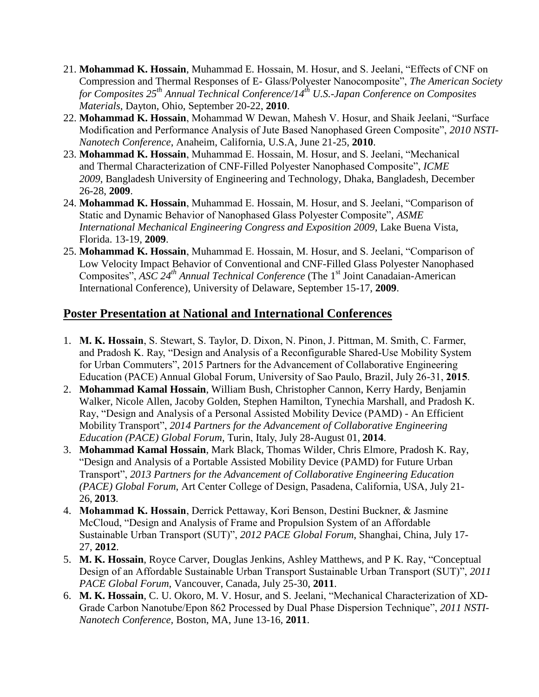- 21. **Mohammad K. Hossain**, Muhammad E. Hossain, M. Hosur, and S. Jeelani, "Effects of CNF on Compression and Thermal Responses of E- Glass/Polyester Nanocomposite", *The American Society for Composites 25th Annual Technical Conference/14th U.S.-Japan Conference on Composites Materials*, Dayton, Ohio, September 20-22, **2010**.
- 22. **Mohammad K. Hossain**, Mohammad W Dewan, Mahesh V. Hosur, and Shaik Jeelani, "Surface Modification and Performance Analysis of Jute Based Nanophased Green Composite", *2010 NSTI-Nanotech Conference*, Anaheim, California, U.S.A, June 21-25, **2010**.
- 23. **Mohammad K. Hossain**, Muhammad E. Hossain, M. Hosur, and S. Jeelani, "Mechanical and Thermal Characterization of CNF-Filled Polyester Nanophased Composite", *ICME 2009*, Bangladesh University of Engineering and Technology, Dhaka, Bangladesh, December 26-28, **2009**.
- 24. **Mohammad K. Hossain**, Muhammad E. Hossain, M. Hosur, and S. Jeelani, "Comparison of Static and Dynamic Behavior of Nanophased Glass Polyester Composite", *ASME International Mechanical Engineering Congress and Exposition 2009*, Lake Buena Vista, Florida. 13-19, **2009**.
- 25. **Mohammad K. Hossain**, Muhammad E. Hossain, M. Hosur, and S. Jeelani, "Comparison of Low Velocity Impact Behavior of Conventional and CNF-Filled Glass Polyester Nanophased Composites", *ASC 24th Annual Technical Conference* (The 1 st Joint Canadaian-American International Conference), University of Delaware, September 15-17, **2009**.

## **Poster Presentation at National and International Conferences**

- 1. **M. K. Hossain**, S. Stewart, S. Taylor, D. Dixon, N. Pinon, J. Pittman, M. Smith, C. Farmer, and Pradosh K. Ray, "Design and Analysis of a Reconfigurable Shared-Use Mobility System for Urban Commuters", 2015 Partners for the Advancement of Collaborative Engineering Education (PACE) Annual Global Forum, University of Sao Paulo, Brazil, July 26-31, **2015**.
- 2. **Mohammad Kamal Hossain**, William Bush, Christopher Cannon, Kerry Hardy, Benjamin Walker, Nicole Allen, Jacoby Golden, Stephen Hamilton, Tynechia Marshall, and Pradosh K. Ray, "Design and Analysis of a Personal Assisted Mobility Device (PAMD) - An Efficient Mobility Transport", *2014 Partners for the Advancement of Collaborative Engineering Education (PACE) Global Forum*, Turin, Italy, July 28-August 01, **2014**.
- 3. **Mohammad Kamal Hossain**, Mark Black, Thomas Wilder, Chris Elmore, Pradosh K. Ray, "Design and Analysis of a Portable Assisted Mobility Device (PAMD) for Future Urban Transport", *2013 Partners for the Advancement of Collaborative Engineering Education (PACE) Global Forum*, Art Center College of Design, Pasadena, California, USA, July 21- 26, **2013**.
- 4. **Mohammad K. Hossain**, Derrick Pettaway, Kori Benson, Destini Buckner, & Jasmine McCloud, "Design and Analysis of Frame and Propulsion System of an Affordable Sustainable Urban Transport (SUT)", *2012 PACE Global Forum*, Shanghai, China, July 17- 27, **2012**.
- 5. **M. K. Hossain**, Royce Carver, Douglas Jenkins, Ashley Matthews, and P K. Ray, "Conceptual Design of an Affordable Sustainable Urban Transport Sustainable Urban Transport (SUT)", *2011 PACE Global Forum*, Vancouver, Canada, July 25-30, **2011**.
- 6. **M. K. Hossain**, C. U. Okoro, M. V. Hosur, and S. Jeelani, "Mechanical Characterization of XD-Grade Carbon Nanotube/Epon 862 Processed by Dual Phase Dispersion Technique", *2011 NSTI-Nanotech Conference,* Boston, MA, June 13-16, **2011**.